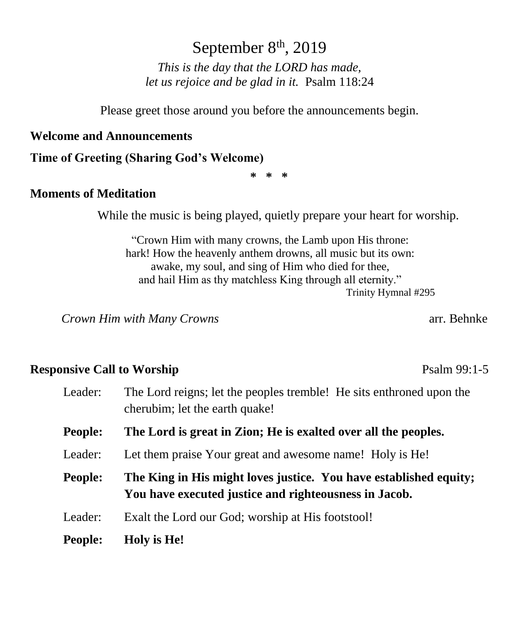# September  $8<sup>th</sup>$ , 2019

*This is the day that the LORD has made, let us rejoice and be glad in it.* Psalm 118:24

Please greet those around you before the announcements begin.

#### **Welcome and Announcements**

#### **Time of Greeting (Sharing God's Welcome)**

**\* \* \***

#### **Moments of Meditation**

While the music is being played, quietly prepare your heart for worship.

"Crown Him with many crowns, the Lamb upon His throne: hark! How the heavenly anthem drowns, all music but its own: awake, my soul, and sing of Him who died for thee, and hail Him as thy matchless King through all eternity." Trinity Hymnal #295

 *Crown Him with Many Crowns* arr. Behnke

### **Responsive Call to Worship**  Psalm 99:1-5

| Leader:        | The Lord reigns; let the peoples tremble! He sits enthroned upon the<br>cherubim; let the earth quake!                     |  |
|----------------|----------------------------------------------------------------------------------------------------------------------------|--|
| <b>People:</b> | The Lord is great in Zion; He is exalted over all the peoples.                                                             |  |
| Leader:        | Let them praise Your great and awesome name! Holy is He!                                                                   |  |
| <b>People:</b> | The King in His might loves justice. You have established equity;<br>You have executed justice and righteousness in Jacob. |  |
|                |                                                                                                                            |  |
| Leader:        | Exalt the Lord our God; worship at His footstool!                                                                          |  |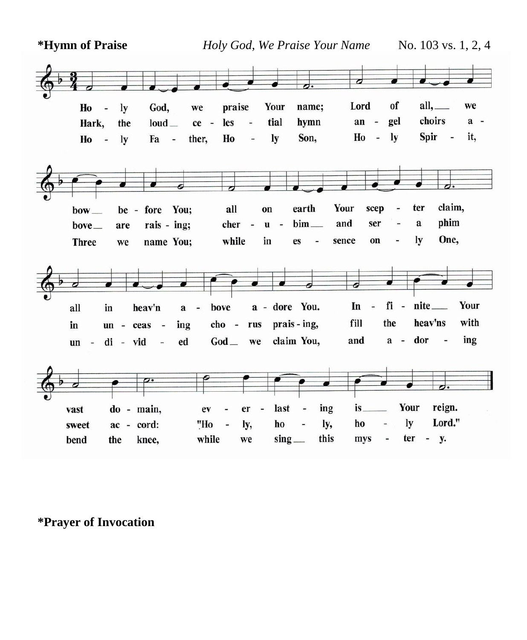**\*Hymn of Praise** *Holy God, We Praise Your Name* No. 103 vs. 1, 2, 4



**\*Prayer of Invocation**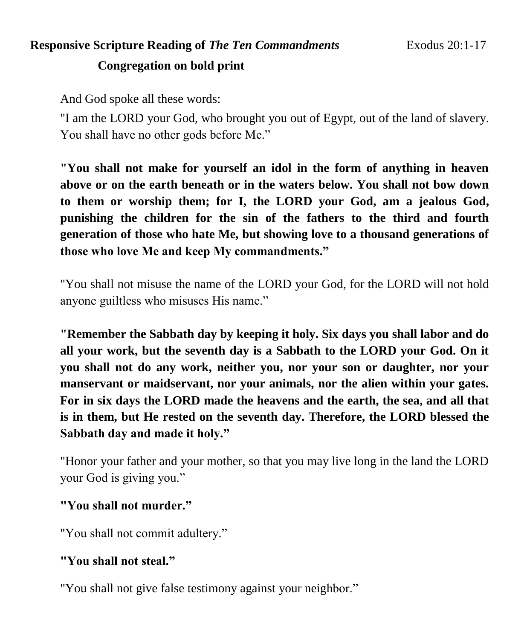# **Responsive Scripture Reading of** *The Ten Commandments* Exodus 20:1-17 **Congregation on bold print**

And God spoke all these words:

"I am the LORD your God, who brought you out of Egypt, out of the land of slavery. You shall have no other gods before Me."

**"You shall not make for yourself an idol in the form of anything in heaven above or on the earth beneath or in the waters below. You shall not bow down to them or worship them; for I, the LORD your God, am a jealous God, punishing the children for the sin of the fathers to the third and fourth generation of those who hate Me, but showing love to a thousand generations of those who love Me and keep My commandments."** 

"You shall not misuse the name of the LORD your God, for the LORD will not hold anyone guiltless who misuses His name."

**"Remember the Sabbath day by keeping it holy. Six days you shall labor and do all your work, but the seventh day is a Sabbath to the LORD your God. On it you shall not do any work, neither you, nor your son or daughter, nor your manservant or maidservant, nor your animals, nor the alien within your gates. For in six days the LORD made the heavens and the earth, the sea, and all that is in them, but He rested on the seventh day. Therefore, the LORD blessed the Sabbath day and made it holy."** 

"Honor your father and your mother, so that you may live long in the land the LORD your God is giving you."

## **"You shall not murder."**

"You shall not commit adultery."

## **"You shall not steal."**

"You shall not give false testimony against your neighbor."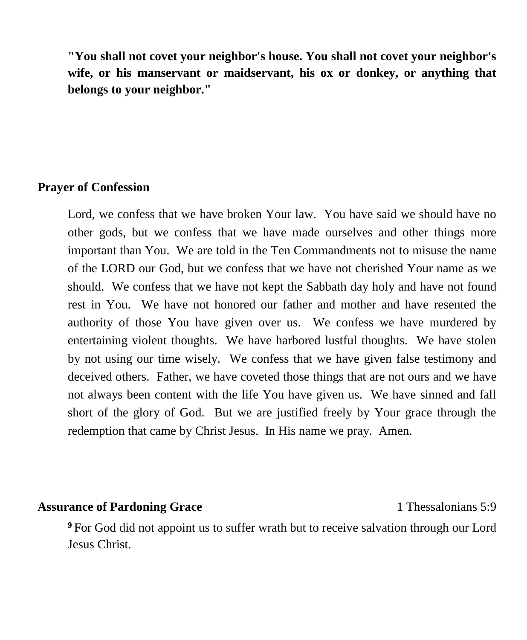**"You shall not covet your neighbor's house. You shall not covet your neighbor's wife, or his manservant or maidservant, his ox or donkey, or anything that belongs to your neighbor."**

#### **Prayer of Confession**

Lord, we confess that we have broken Your law. You have said we should have no other gods, but we confess that we have made ourselves and other things more important than You. We are told in the Ten Commandments not to misuse the name of the LORD our God, but we confess that we have not cherished Your name as we should. We confess that we have not kept the Sabbath day holy and have not found rest in You. We have not honored our father and mother and have resented the authority of those You have given over us. We confess we have murdered by entertaining violent thoughts. We have harbored lustful thoughts. We have stolen by not using our time wisely. We confess that we have given false testimony and deceived others. Father, we have coveted those things that are not ours and we have not always been content with the life You have given us. We have sinned and fall short of the glory of God. But we are justified freely by Your grace through the redemption that came by Christ Jesus. In His name we pray. Amen.

#### Assurance of Pardoning Grace 1 Thessalonians 5:9

**<sup>9</sup>** For God did not appoint us to suffer wrath but to receive salvation through our Lord Jesus Christ.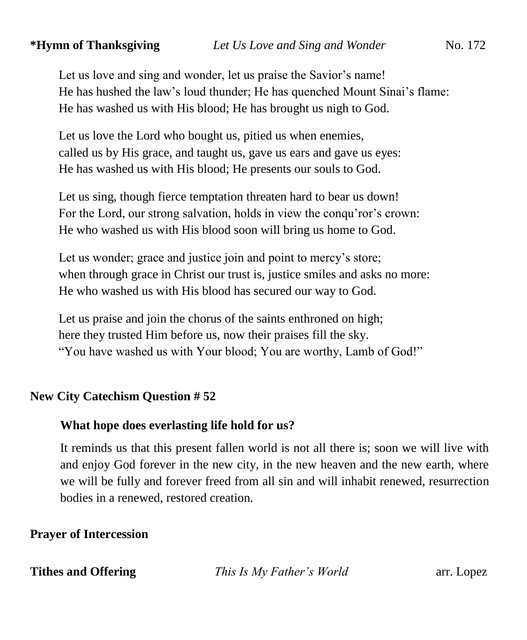Let us love and sing and wonder, let us praise the Savior's name! He has hushed the law's loud thunder; He has quenched Mount Sinai's flame: He has washed us with His blood; He has brought us nigh to God.

Let us love the Lord who bought us, pitied us when enemies, called us by His grace, and taught us, gave us ears and gave us eyes: He has washed us with His blood; He presents our souls to God.

Let us sing, though fierce temptation threaten hard to bear us down! For the Lord, our strong salvation, holds in view the conqu'ror's crown: He who washed us with His blood soon will bring us home to God.

Let us wonder; grace and justice join and point to mercy's store; when through grace in Christ our trust is, justice smiles and asks no more: He who washed us with His blood has secured our way to God.

Let us praise and join the chorus of the saints enthroned on high; here they trusted Him before us, now their praises fill the sky. "You have washed us with Your blood; You are worthy, Lamb of God!"

## **New City Catechism Question # 52**

#### **What hope does everlasting life hold for us?**

It reminds us that this present fallen world is not all there is; soon we will live with and enjoy God forever in the new city, in the new heaven and the new earth, where we will be fully and forever freed from all sin and will inhabit renewed, resurrection bodies in a renewed, restored creation.

## **Prayer of Intercession**

**Tithes and Offering** *This Is My Father's World* arr. Lopez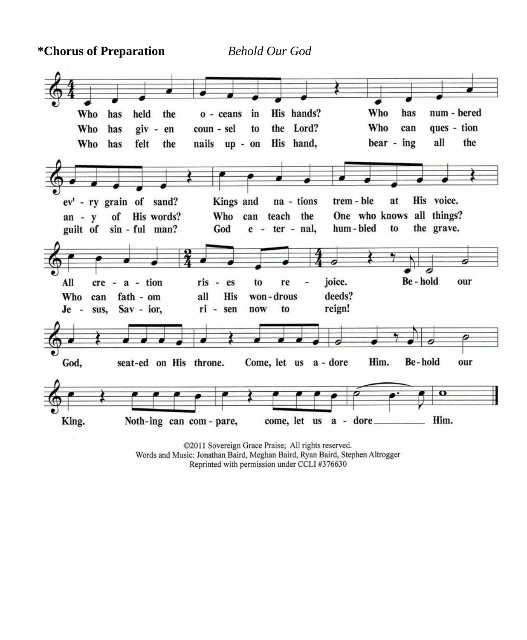**\*Chorus of Preparation** *Behold Our God* 



©2011 Sovereign Grace Praise; All rights reserved. Words and Music: Jonathan Baird, Meghan Baird, Ryan Baird, Stephen Altrogger Reprinted with permission under CCLI #376630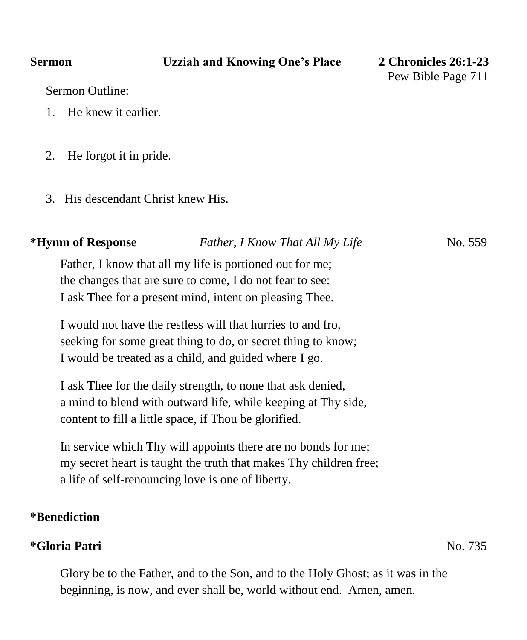Sermon Outline:

- 1. He knew it earlier.
- 2. He forgot it in pride.
- 3. His descendant Christ knew His.

| " LIVIIIII OI RESPOIISE | <b>Father, I Know That All My Life</b>                   | 180.332 |
|-------------------------|----------------------------------------------------------|---------|
|                         | Father, I know that all my life is portioned out for me; |         |
|                         | the changes that are sure to come, I do not fear to see: |         |
|                         | I ask Thee for a present mind, intent on pleasing Thee.  |         |

**\*Hymn of Response** *Father, I Know That All My Life* No. 559

I would not have the restless will that hurries to and fro, seeking for some great thing to do, or secret thing to know; I would be treated as a child, and guided where I go.

I ask Thee for the daily strength, to none that ask denied, a mind to blend with outward life, while keeping at Thy side, content to fill a little space, if Thou be glorified.

In service which Thy will appoints there are no bonds for me; my secret heart is taught the truth that makes Thy children free; a life of self-renouncing love is one of liberty.

#### **\*Benediction**

#### **\*Gloria Patri** No. 735

Glory be to the Father, and to the Son, and to the Holy Ghost; as it was in the beginning, is now, and ever shall be, world without end. Amen, amen.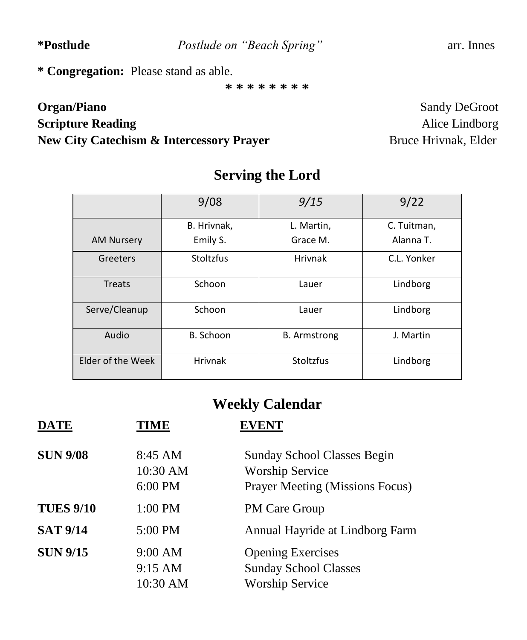**\*Postlude** *Postlude on "Beach Spring"* arr. Innes

**\* Congregation:** Please stand as able.

**\* \* \* \* \* \* \* \***

# **Organ/Piano** Sandy DeGroot **Scripture Reading Alice Lindborg Alice Lindborg New City Catechism & Intercessory Prayer** Bruce Hrivnak, Elder

|                   | 9/08           | 9/15                | 9/22        |
|-------------------|----------------|---------------------|-------------|
|                   | B. Hrivnak,    | L. Martin,          | C. Tuitman, |
| <b>AM Nursery</b> | Emily S.       | Grace M.            | Alanna T.   |
| Greeters          | Stoltzfus      | <b>Hrivnak</b>      | C.L. Yonker |
| Treats            | Schoon         | Lauer               | Lindborg    |
| Serve/Cleanup     | Schoon         | Lauer               | Lindborg    |
| Audio             | B. Schoon      | <b>B.</b> Armstrong | J. Martin   |
| Elder of the Week | <b>Hrivnak</b> | Stoltzfus           | Lindborg    |

# **Serving the Lord**

# **Weekly Calendar**

| <b>DATE</b>      | TIME                                     | <b>EVENT</b>                                                                                    |
|------------------|------------------------------------------|-------------------------------------------------------------------------------------------------|
| <b>SUN 9/08</b>  | 8:45 AM<br>10:30 AM<br>6:00 PM           | <b>Sunday School Classes Begin</b><br><b>Worship Service</b><br>Prayer Meeting (Missions Focus) |
| <b>TUES 9/10</b> | $1:00$ PM                                | PM Care Group                                                                                   |
| <b>SAT 9/14</b>  | 5:00 PM                                  | Annual Hayride at Lindborg Farm                                                                 |
| <b>SUN 9/15</b>  | 9:00 AM<br>$9:15 \text{ AM}$<br>10:30 AM | <b>Opening Exercises</b><br><b>Sunday School Classes</b><br><b>Worship Service</b>              |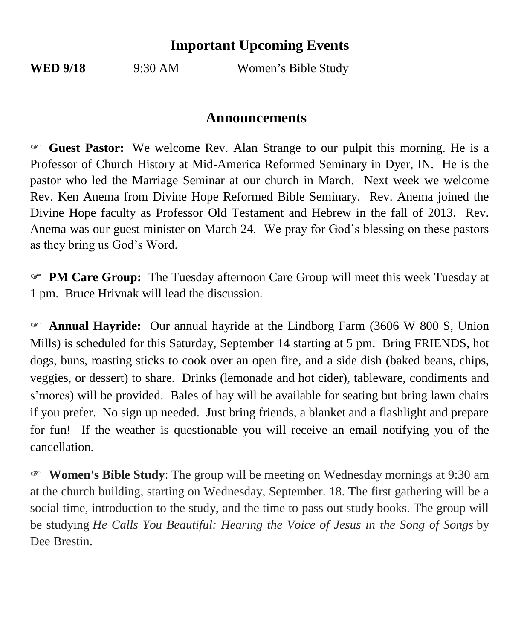## **Important Upcoming Events**

**WED** 9/18 9:30 AM Women's Bible Study

## **Announcements**

 **Guest Pastor:** We welcome Rev. Alan Strange to our pulpit this morning. He is a Professor of Church History at Mid-America Reformed Seminary in Dyer, IN. He is the pastor who led the Marriage Seminar at our church in March. Next week we welcome Rev. Ken Anema from Divine Hope Reformed Bible Seminary. Rev. Anema joined the Divine Hope faculty as Professor Old Testament and Hebrew in the fall of 2013. Rev. Anema was our guest minister on March 24. We pray for God's blessing on these pastors as they bring us God's Word.

 **PM Care Group:** The Tuesday afternoon Care Group will meet this week Tuesday at 1 pm. Bruce Hrivnak will lead the discussion.

 **Annual Hayride:** Our annual hayride at the Lindborg Farm (3606 W 800 S, Union Mills) is scheduled for this Saturday, September 14 starting at 5 pm. Bring FRIENDS, hot dogs, buns, roasting sticks to cook over an open fire, and a side dish (baked beans, chips, veggies, or dessert) to share. Drinks (lemonade and hot cider), tableware, condiments and s'mores) will be provided. Bales of hay will be available for seating but bring lawn chairs if you prefer. No sign up needed. Just bring friends, a blanket and a flashlight and prepare for fun! If the weather is questionable you will receive an email notifying you of the cancellation.

 **Women's Bible Study**: The group will be meeting on Wednesday mornings at 9:30 am at the church building, starting on Wednesday, September. 18. The first gathering will be a social time, introduction to the study, and the time to pass out study books. The group will be studying *He Calls You Beautiful: Hearing the Voice of Jesus in the Song of Songs* by Dee Brestin.